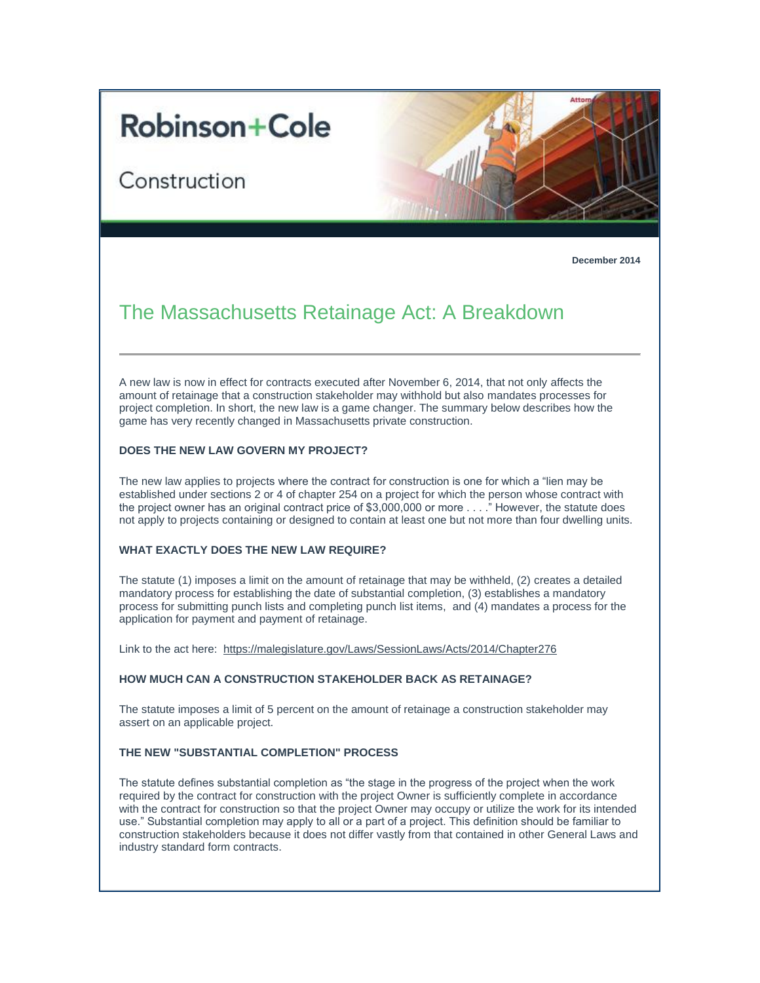# **Robinson+Cole**

Construction



**December 2014**

# The Massachusetts Retainage Act: A Breakdown

A new law is now in effect for contracts executed after November 6, 2014, that not only affects the amount of retainage that a construction stakeholder may withhold but also mandates processes for project completion. In short, the new law is a game changer. The summary below describes how the game has very recently changed in Massachusetts private construction.

# **DOES THE NEW LAW GOVERN MY PROJECT?**

The new law applies to projects where the contract for construction is one for which a "lien may be established under sections 2 or 4 of chapter 254 on a project for which the person whose contract with the project owner has an original contract price of \$3,000,000 or more . . . ." However, the statute does not apply to projects containing or designed to contain at least one but not more than four dwelling units.

## **WHAT EXACTLY DOES THE NEW LAW REQUIRE?**

The statute (1) imposes a limit on the amount of retainage that may be withheld, (2) creates a detailed mandatory process for establishing the date of substantial completion, (3) establishes a mandatory process for submitting punch lists and completing punch list items, and (4) mandates a process for the application for payment and payment of retainage.

Link to the act here: [https://malegislature.gov/Laws/SessionLaws/Acts/2014/Chapter276](http://t2806904.omkt.co/track.aspx?id=402|2AD478|6F10|19C|85D|0|70A|1|38E882D1&destination=https%3a%2f%2fmalegislature.gov%2fLaws%2fSessionLaws%2fActs%2f2014%2fChapter276&dchk=1B2CC997)

#### **HOW MUCH CAN A CONSTRUCTION STAKEHOLDER BACK AS RETAINAGE?**

The statute imposes a limit of 5 percent on the amount of retainage a construction stakeholder may assert on an applicable project.

## **THE NEW "SUBSTANTIAL COMPLETION" PROCESS**

The statute defines substantial completion as "the stage in the progress of the project when the work required by the contract for construction with the project Owner is sufficiently complete in accordance with the contract for construction so that the project Owner may occupy or utilize the work for its intended use." Substantial completion may apply to all or a part of a project. This definition should be familiar to construction stakeholders because it does not differ vastly from that contained in other General Laws and industry standard form contracts.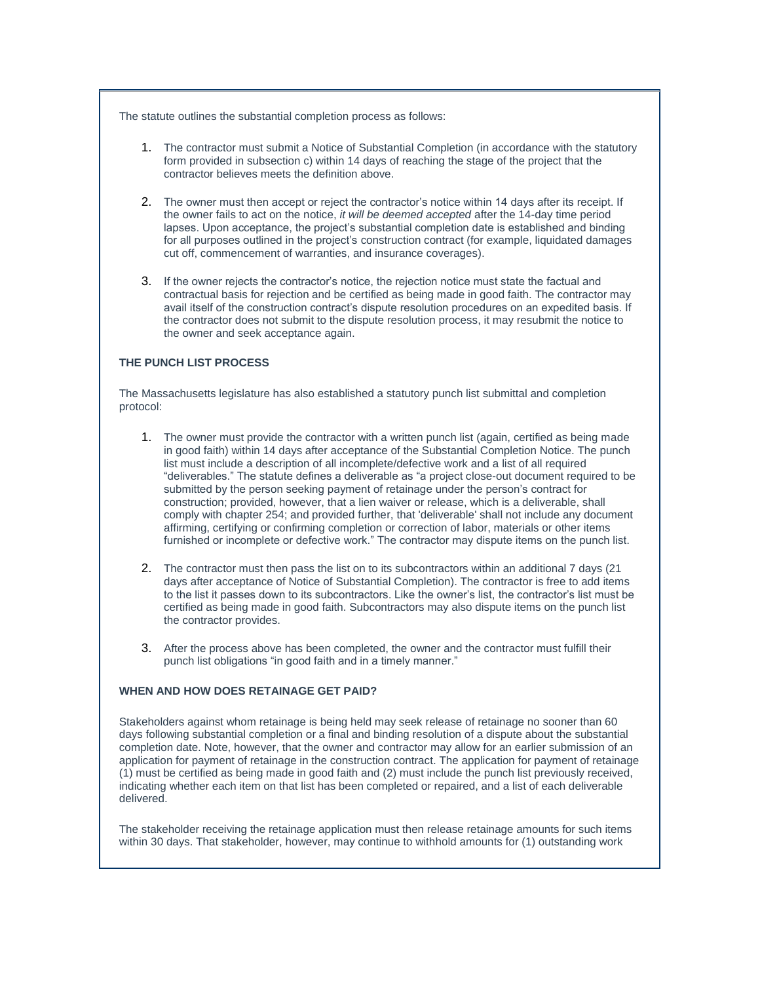The statute outlines the substantial completion process as follows:

- 1. The contractor must submit a Notice of Substantial Completion (in accordance with the statutory form provided in subsection c) within 14 days of reaching the stage of the project that the contractor believes meets the definition above.
- 2. The owner must then accept or reject the contractor's notice within 14 days after its receipt. If the owner fails to act on the notice, *it will be deemed accepted* after the 14-day time period lapses. Upon acceptance, the project's substantial completion date is established and binding for all purposes outlined in the project's construction contract (for example, liquidated damages cut off, commencement of warranties, and insurance coverages).
- 3. If the owner rejects the contractor's notice, the rejection notice must state the factual and contractual basis for rejection and be certified as being made in good faith. The contractor may avail itself of the construction contract's dispute resolution procedures on an expedited basis. If the contractor does not submit to the dispute resolution process, it may resubmit the notice to the owner and seek acceptance again.

#### **THE PUNCH LIST PROCESS**

The Massachusetts legislature has also established a statutory punch list submittal and completion protocol:

- 1. The owner must provide the contractor with a written punch list (again, certified as being made in good faith) within 14 days after acceptance of the Substantial Completion Notice. The punch list must include a description of all incomplete/defective work and a list of all required "deliverables." The statute defines a deliverable as "a project close-out document required to be submitted by the person seeking payment of retainage under the person's contract for construction; provided, however, that a lien waiver or release, which is a deliverable, shall comply with chapter 254; and provided further, that 'deliverable' shall not include any document affirming, certifying or confirming completion or correction of labor, materials or other items furnished or incomplete or defective work." The contractor may dispute items on the punch list.
- 2. The contractor must then pass the list on to its subcontractors within an additional 7 days (21 days after acceptance of Notice of Substantial Completion). The contractor is free to add items to the list it passes down to its subcontractors. Like the owner's list, the contractor's list must be certified as being made in good faith. Subcontractors may also dispute items on the punch list the contractor provides.
- 3. After the process above has been completed, the owner and the contractor must fulfill their punch list obligations "in good faith and in a timely manner."

#### **WHEN AND HOW DOES RETAINAGE GET PAID?**

Stakeholders against whom retainage is being held may seek release of retainage no sooner than 60 days following substantial completion or a final and binding resolution of a dispute about the substantial completion date. Note, however, that the owner and contractor may allow for an earlier submission of an application for payment of retainage in the construction contract. The application for payment of retainage (1) must be certified as being made in good faith and (2) must include the punch list previously received, indicating whether each item on that list has been completed or repaired, and a list of each deliverable delivered.

The stakeholder receiving the retainage application must then release retainage amounts for such items within 30 days. That stakeholder, however, may continue to withhold amounts for (1) outstanding work